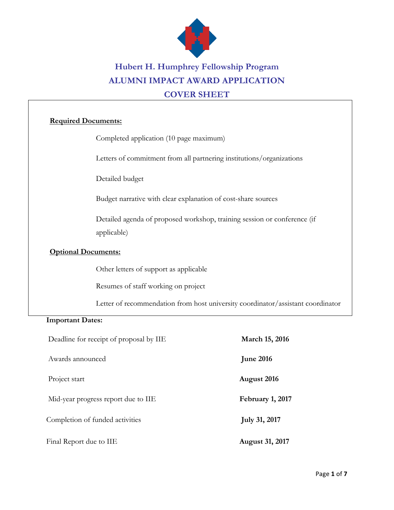

# **Hubert H. Humphrey Fellowship Program ALUMNI IMPACT AWARD APPLICATION COVER SHEET**

#### **Required Documents:**

Completed application (10 page maximum)

Letters of commitment from all partnering institutions/organizations

Detailed budget

Budget narrative with clear explanation of cost-share sources

 Detailed agenda of proposed workshop, training session or conference (if applicable)

#### **Optional Documents:**

Other letters of support as applicable

Resumes of staff working on project

Letter of recommendation from host university coordinator/assistant coordinator

#### **Important Dates:**

| Deadline for receipt of proposal by IIE | March 15, 2016         |  |  |
|-----------------------------------------|------------------------|--|--|
| Awards announced                        | <b>June 2016</b>       |  |  |
| Project start                           | August 2016            |  |  |
| Mid-year progress report due to IIE     | February 1, 2017       |  |  |
| Completion of funded activities         | <b>July 31, 2017</b>   |  |  |
| Final Report due to IIE                 | <b>August 31, 2017</b> |  |  |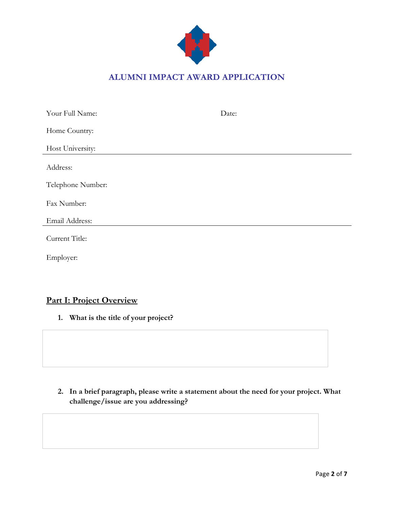

## **ALUMNI IMPACT AWARD APPLICATION**

| Your Full Name:   | Date: |
|-------------------|-------|
| Home Country:     |       |
| Host University:  |       |
| Address:          |       |
| Telephone Number: |       |
| Fax Number:       |       |
| Email Address:    |       |
| Current Title:    |       |
| Employer:         |       |
|                   |       |

# **Part I: Project Overview**

**1. What is the title of your project?**

**2. In a brief paragraph, please write a statement about the need for your project. What challenge/issue are you addressing?**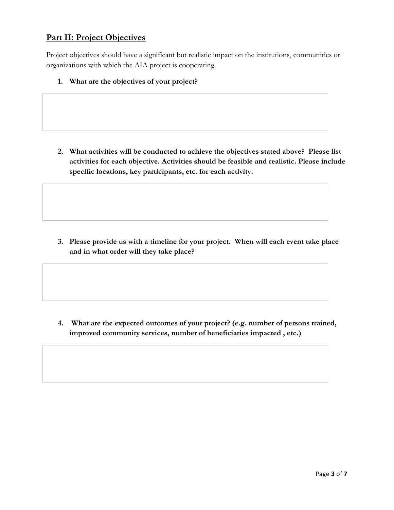#### **Part II: Project Objectives**

Project objectives should have a significant but realistic impact on the institutions, communities or organizations with which the AIA project is cooperating.

**1. What are the objectives of your project?** 

**2. What activities will be conducted to achieve the objectives stated above? Please list activities for each objective. Activities should be feasible and realistic. Please include specific locations, key participants, etc. for each activity.**

**3. Please provide us with a timeline for your project. When will each event take place and in what order will they take place?**

**4. What are the expected outcomes of your project? (e.g. number of persons trained, improved community services, number of beneficiaries impacted , etc.)**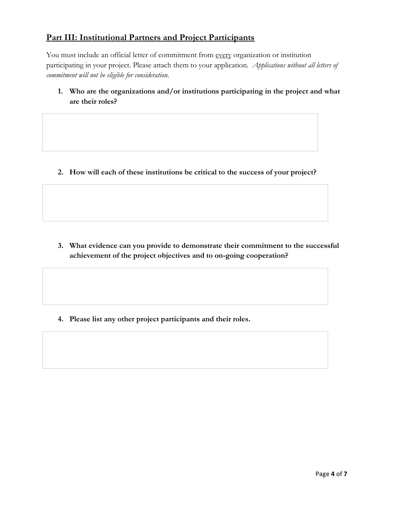### **Part III: Institutional Partners and Project Participants**

You must include an official letter of commitment from every organization or institution participating in your project. Please attach them to your application*. Applications without all letters of commitment will not be eligible for consideration.*

**1. Who are the organizations and/or institutions participating in the project and what are their roles?**

**2. How will each of these institutions be critical to the success of your project?**

**3. What evidence can you provide to demonstrate their commitment to the successful achievement of the project objectives and to on-going cooperation?**

**4. Please list any other project participants and their roles.**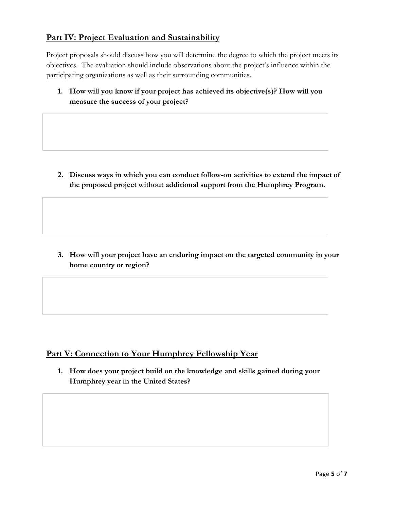#### **Part IV: Project Evaluation and Sustainability**

Project proposals should discuss how you will determine the degree to which the project meets its objectives. The evaluation should include observations about the project's influence within the participating organizations as well as their surrounding communities.

**1. How will you know if your project has achieved its objective(s)? How will you measure the success of your project?**

**2. Discuss ways in which you can conduct follow-on activities to extend the impact of the proposed project without additional support from the Humphrey Program.**

**3. How will your project have an enduring impact on the targeted community in your home country or region?**

### **Part V: Connection to Your Humphrey Fellowship Year**

**1. How does your project build on the knowledge and skills gained during your Humphrey year in the United States?**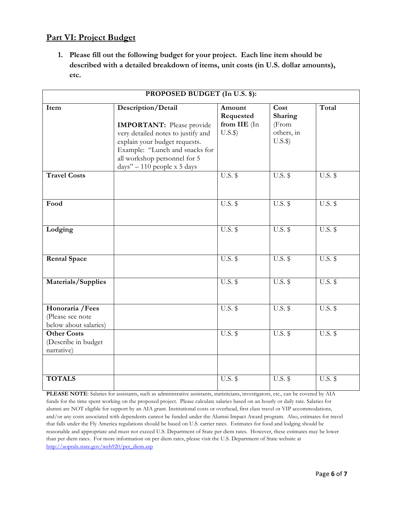#### **Part VI: Project Budget**

**1. Please fill out the following budget for your project. Each line item should be described with a detailed breakdown of items, unit costs (in U.S. dollar amounts), etc.**

| PROPOSED BUDGET (In U.S. \$):                                 |                                                                                                                                                                                                                                   |                                                |                                                   |                |  |
|---------------------------------------------------------------|-----------------------------------------------------------------------------------------------------------------------------------------------------------------------------------------------------------------------------------|------------------------------------------------|---------------------------------------------------|----------------|--|
| Item                                                          | Description/Detail<br><b>IMPORTANT:</b> Please provide<br>very detailed notes to justify and<br>explain your budget requests.<br>Example: "Lunch and snacks for<br>all workshop personnel for 5<br>$days'' - 110$ people x 5 days | Amount<br>Requested<br>from IIE (In<br>$U.S.\$ | Cost<br>Sharing<br>(From<br>others, in<br>$U.S.\$ | Total          |  |
| <b>Travel Costs</b>                                           |                                                                                                                                                                                                                                   | $U.S.$ \$                                      | $U.S.$ \$                                         | $U.S.$ \$      |  |
| Food                                                          |                                                                                                                                                                                                                                   | $U.S.$ \$                                      | <b>U.S.</b> \$                                    | $U.S.$ \$      |  |
| Lodging                                                       |                                                                                                                                                                                                                                   | <b>U.S. \$</b>                                 | <b>U.S. \$</b>                                    | $U.S.$ \$      |  |
| <b>Rental Space</b>                                           |                                                                                                                                                                                                                                   | $U.S.$ \$                                      | $U.S.$ \$                                         | $U.S.$ \$      |  |
| Materials/Supplies                                            |                                                                                                                                                                                                                                   | $U.S.$ \$                                      | $U.S.$ \$                                         | $U.S.$ \$      |  |
| Honoraria / Fees<br>(Please see note<br>below about salaries) |                                                                                                                                                                                                                                   | $U.S.$ \$                                      | $U.S.$ \$                                         | $U.S.$ \$      |  |
| <b>Other Costs</b><br>(Describe in budget<br>narrative)       |                                                                                                                                                                                                                                   | <b>U.S. \$</b>                                 | <b>U.S. \$</b>                                    | <b>U.S. \$</b> |  |
| <b>TOTALS</b>                                                 |                                                                                                                                                                                                                                   | <b>U.S. \$</b>                                 | <b>U.S. \$</b>                                    | <b>U.S. \$</b> |  |

**PLEASE NOTE**: Salaries for assistants, such as administrative assistants, statisticians, investigators, etc., can be covered by AIA funds for the time spent working on the proposed project. Please calculate salaries based on an hourly or daily rate. Salaries for alumni are NOT eligible for support by an AIA grant. Institutional costs or overhead, first class travel or VIP accommodations, and/or any costs associated with dependents cannot be funded under the Alumni Impact Award program. Also, estimates for travel that falls under the Fly America regulations should be based on U.S. carrier rates. Estimates for food and lodging should be reasonable and appropriate and must not exceed U.S. Department of State per diem rates. However, these estimates may be lower than per diem rates. For more information on per diem rates, please visit the U.S. Department of State website at http://aoprals.state.gov/web920/per\_diem.asp